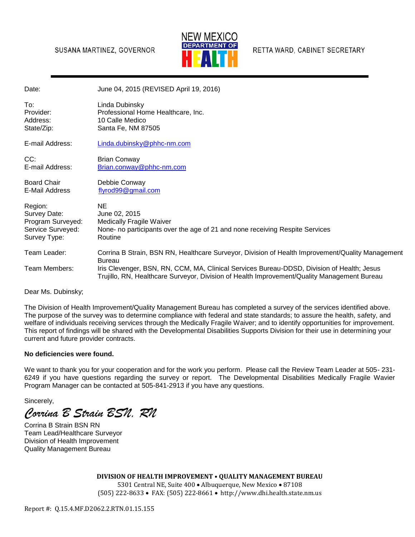## SUSANA MARTINEZ, GOVERNOR



RETTA WARD, CABINET SECRETARY

| Date:                                                                             | June 04, 2015 (REVISED April 19, 2016)                                                                                                                                                    |
|-----------------------------------------------------------------------------------|-------------------------------------------------------------------------------------------------------------------------------------------------------------------------------------------|
| To:<br>Provider:<br>Address:<br>State/Zip:                                        | Linda Dubinsky<br>Professional Home Healthcare, Inc.<br>10 Calle Medico<br>Santa Fe, NM 87505                                                                                             |
| E-mail Address:                                                                   | Linda.dubinsky@phhc-nm.com                                                                                                                                                                |
| CC:<br>E-mail Address:                                                            | <b>Brian Conway</b><br>Brian.conway@phhc-nm.com                                                                                                                                           |
| <b>Board Chair</b><br>E-Mail Address                                              | Debbie Conway<br>flyrod99@gmail.com                                                                                                                                                       |
| Region:<br>Survey Date:<br>Program Surveyed:<br>Service Surveyed:<br>Survey Type: | <b>NE</b><br>June 02, 2015<br><b>Medically Fragile Waiver</b><br>None- no participants over the age of 21 and none receiving Respite Services<br>Routine                                  |
| Team Leader:                                                                      | Corrina B Strain, BSN RN, Healthcare Surveyor, Division of Health Improvement/Quality Management<br><b>Bureau</b>                                                                         |
| Team Members:                                                                     | Iris Clevenger, BSN, RN, CCM, MA, Clinical Services Bureau-DDSD, Division of Health; Jesus<br>Trujillo, RN, Healthcare Surveyor, Division of Health Improvement/Quality Management Bureau |
|                                                                                   |                                                                                                                                                                                           |

Dear Ms. Dubinsky;

The Division of Health Improvement/Quality Management Bureau has completed a survey of the services identified above. The purpose of the survey was to determine compliance with federal and state standards; to assure the health, safety, and welfare of individuals receiving services through the Medically Fragile Waiver; and to identify opportunities for improvement. This report of findings will be shared with the Developmental Disabilities Supports Division for their use in determining your current and future provider contracts.

## **No deficiencies were found.**

We want to thank you for your cooperation and for the work you perform. Please call the Review Team Leader at 505- 231- 6249 if you have questions regarding the survey or report. The Developmental Disabilities Medically Fragile Wavier Program Manager can be contacted at 505-841-2913 if you have any questions.

Sincerely,

*Corrina B Strain BSN, RN*

Corrina B Strain BSN RN Team Lead/Healthcare Surveyor Division of Health Improvement Quality Management Bureau

> **DIVISION OF HEALTH IMPROVEMENT • QUALITY MANAGEMENT BUREAU**  5301 Central NE, Suite 400 · Albuquerque, New Mexico · 87108 (505) 222-8633 FAX: (505) 222-8661 http://www.dhi.health.state.nm.us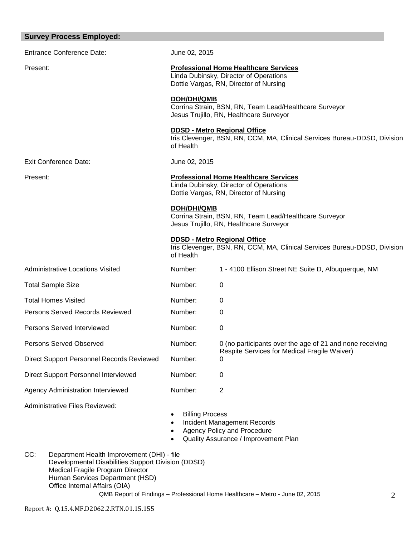| <b>Survey Process Employed:</b>           |                                                                                                                                  |                                                                                                                  |  |  |  |  |
|-------------------------------------------|----------------------------------------------------------------------------------------------------------------------------------|------------------------------------------------------------------------------------------------------------------|--|--|--|--|
| <b>Entrance Conference Date:</b>          | June 02, 2015                                                                                                                    |                                                                                                                  |  |  |  |  |
| Present:                                  | <b>Professional Home Healthcare Services</b><br>Linda Dubinsky, Director of Operations<br>Dottie Vargas, RN, Director of Nursing |                                                                                                                  |  |  |  |  |
|                                           | <b>DOH/DHI/QMB</b>                                                                                                               | Corrina Strain, BSN, RN, Team Lead/Healthcare Surveyor<br>Jesus Trujillo, RN, Healthcare Surveyor                |  |  |  |  |
|                                           | of Health                                                                                                                        | <b>DDSD - Metro Regional Office</b><br>Iris Clevenger, BSN, RN, CCM, MA, Clinical Services Bureau-DDSD, Division |  |  |  |  |
| Exit Conference Date:                     | June 02, 2015                                                                                                                    |                                                                                                                  |  |  |  |  |
| Present:                                  | <b>Professional Home Healthcare Services</b><br>Linda Dubinsky, Director of Operations<br>Dottie Vargas, RN, Director of Nursing |                                                                                                                  |  |  |  |  |
|                                           | <b>DOH/DHI/QMB</b><br>Corrina Strain, BSN, RN, Team Lead/Healthcare Surveyor<br>Jesus Trujillo, RN, Healthcare Surveyor          |                                                                                                                  |  |  |  |  |
|                                           | <b>DDSD - Metro Regional Office</b><br>Iris Clevenger, BSN, RN, CCM, MA, Clinical Services Bureau-DDSD, Division<br>of Health    |                                                                                                                  |  |  |  |  |
| <b>Administrative Locations Visited</b>   | Number:                                                                                                                          | 1 - 4100 Ellison Street NE Suite D, Albuquerque, NM                                                              |  |  |  |  |
| <b>Total Sample Size</b>                  | Number:                                                                                                                          | 0                                                                                                                |  |  |  |  |
| <b>Total Homes Visited</b>                | Number:                                                                                                                          | 0                                                                                                                |  |  |  |  |
| Persons Served Records Reviewed           | Number:                                                                                                                          | 0                                                                                                                |  |  |  |  |
| Persons Served Interviewed                | Number:                                                                                                                          | 0                                                                                                                |  |  |  |  |
| Persons Served Observed                   | Number:                                                                                                                          | 0 (no participants over the age of 21 and none receiving                                                         |  |  |  |  |
| Direct Support Personnel Records Reviewed | Number:                                                                                                                          | Respite Services for Medical Fragile Waiver)<br>0                                                                |  |  |  |  |
| Direct Support Personnel Interviewed      | Number:                                                                                                                          | 0                                                                                                                |  |  |  |  |
| Agency Administration Interviewed         | Number:                                                                                                                          | 2                                                                                                                |  |  |  |  |
| <b>Administrative Files Reviewed:</b>     | <b>Billing Process</b><br>$\bullet$<br>٠<br>٠                                                                                    | <b>Incident Management Records</b><br>Agency Policy and Procedure                                                |  |  |  |  |

- Quality Assurance / Improvement Plan
- QMB Report of Findings Professional Home Healthcare Metro June 02, 2015 CC: Department Health Improvement (DHI) - file Developmental Disabilities Support Division (DDSD) Medical Fragile Program Director Human Services Department (HSD) Office Internal Affairs (OIA)